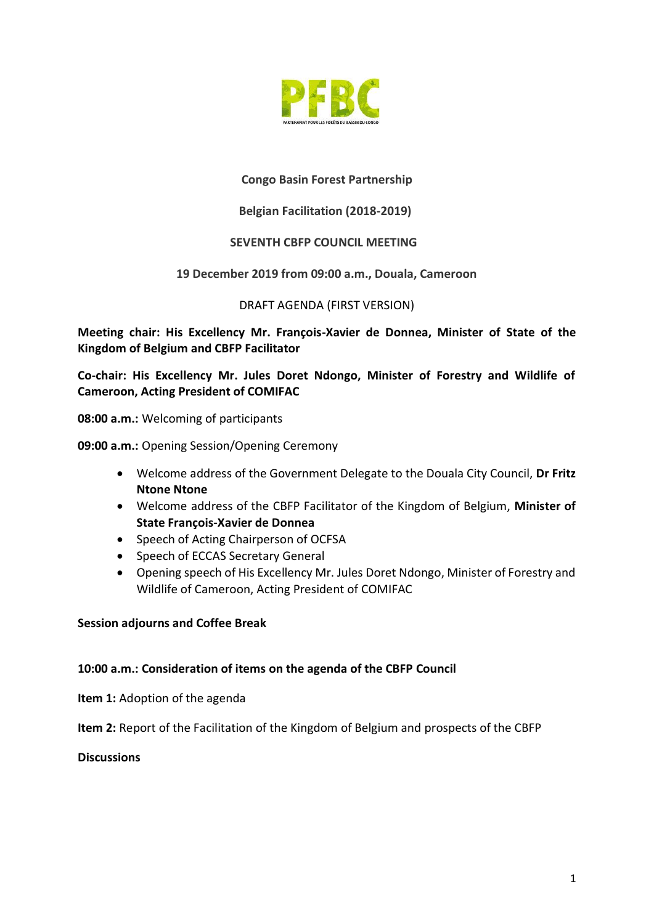

# **Congo Basin Forest Partnership**

## **Belgian Facilitation (2018-2019)**

### **SEVENTH CBFP COUNCIL MEETING**

### **19 December 2019 from 09:00 a.m., Douala, Cameroon**

### DRAFT AGENDA (FIRST VERSION)

**Meeting chair: His Excellency Mr. François-Xavier de Donnea, Minister of State of the Kingdom of Belgium and CBFP Facilitator**

**Co-chair: His Excellency Mr. Jules Doret Ndongo, Minister of Forestry and Wildlife of Cameroon, Acting President of COMIFAC** 

**08:00 a.m.:** Welcoming of participants

**09:00 a.m.:** Opening Session/Opening Ceremony

- Welcome address of the Government Delegate to the Douala City Council, **Dr Fritz Ntone Ntone**
- Welcome address of the CBFP Facilitator of the Kingdom of Belgium, **Minister of State François-Xavier de Donnea**
- Speech of Acting Chairperson of OCFSA
- Speech of ECCAS Secretary General
- Opening speech of His Excellency Mr. Jules Doret Ndongo, Minister of Forestry and Wildlife of Cameroon, Acting President of COMIFAC

### **Session adjourns and Coffee Break**

### **10:00 a.m.: Consideration of items on the agenda of the CBFP Council**

**Item 1:** Adoption of the agenda

**Item 2:** Report of the Facilitation of the Kingdom of Belgium and prospects of the CBFP

### **Discussions**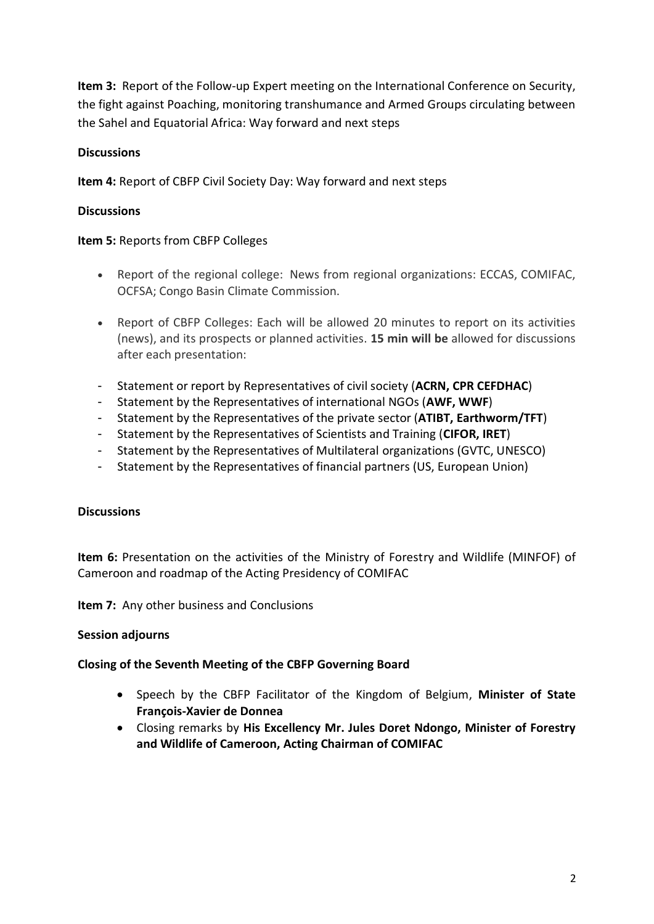**Item 3:** Report of the Follow-up Expert meeting on the International Conference on Security, the fight against Poaching, monitoring transhumance and Armed Groups circulating between the Sahel and Equatorial Africa: Way forward and next steps

# **Discussions**

**Item 4:** Report of CBFP Civil Society Day: Way forward and next steps

# **Discussions**

# **Item 5:** Reports from CBFP Colleges

- Report of the regional college: News from regional organizations: ECCAS, COMIFAC, OCFSA; Congo Basin Climate Commission.
- Report of CBFP Colleges: Each will be allowed 20 minutes to report on its activities (news), and its prospects or planned activities. **15 min will be** allowed for discussions after each presentation:
- Statement or report by Representatives of civil society (**ACRN, CPR CEFDHAC**)
- Statement by the Representatives of international NGOs (**AWF, WWF**)
- Statement by the Representatives of the private sector (**ATIBT, Earthworm/TFT**)
- Statement by the Representatives of Scientists and Training (**CIFOR, IRET**)
- Statement by the Representatives of Multilateral organizations (GVTC, UNESCO)
- Statement by the Representatives of financial partners (US, European Union)

# **Discussions**

**Item 6:** Presentation on the activities of the Ministry of Forestry and Wildlife (MINFOF) of Cameroon and roadmap of the Acting Presidency of COMIFAC

**Item 7:** Any other business and Conclusions

# **Session adjourns**

# **Closing of the Seventh Meeting of the CBFP Governing Board**

- Speech by the CBFP Facilitator of the Kingdom of Belgium, **Minister of State François-Xavier de Donnea**
- Closing remarks by **His Excellency Mr. Jules Doret Ndongo, Minister of Forestry and Wildlife of Cameroon, Acting Chairman of COMIFAC**